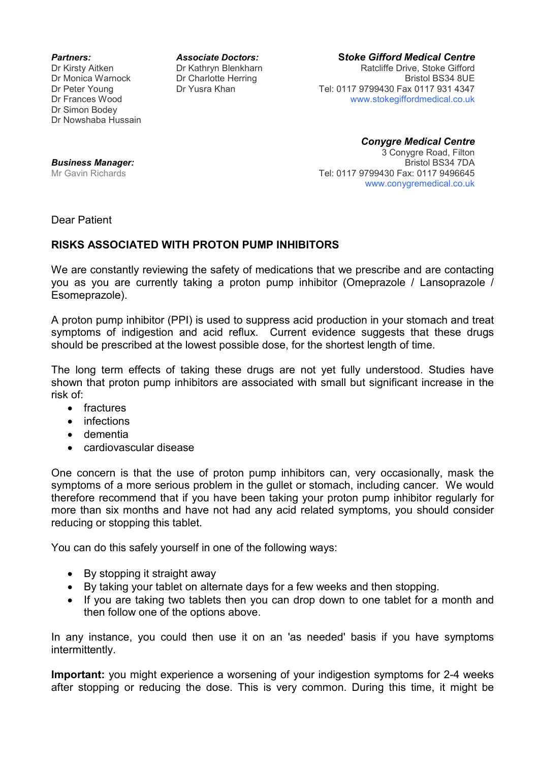Dr Simon Bodey Dr Nowshaba Hussain

*Partners: Associate Doctors:* **S***toke Gifford Medical Centre* Dr Kirsty Aitken **Dr Kathryn Blenkharn** Ratcliffe Drive, Stoke Gifford Dr Monica Warnock Dr Charlotte Herring Bristol BS34 8UE Dr Peter Young Dr Yusra Khan Tel: 0117 9799430 Fax 0117 931 4347 Dr Frances Wood www.stokegiffordmedical.co.uk

> *Conygre Medical Centre*  3 Conygre Road, Filton Tel: 0117 9799430 Fax: 0117 9496645 www.conygremedical.co.uk

**Business Manager:**<br>Mr Gavin Richards

Dear Patient

## **RISKS ASSOCIATED WITH PROTON PUMP INHIBITORS**

We are constantly reviewing the safety of medications that we prescribe and are contacting you as you are currently taking a proton pump inhibitor (Omeprazole / Lansoprazole / Esomeprazole).

A proton pump inhibitor (PPI) is used to suppress acid production in your stomach and treat symptoms of indigestion and acid reflux. Current evidence suggests that these drugs should be prescribed at the lowest possible dose, for the shortest length of time.

The long term effects of taking these drugs are not yet fully understood. Studies have shown that proton pump inhibitors are associated with small but significant increase in the risk of:

- fractures
- infections
- dementia
- cardiovascular disease

One concern is that the use of proton pump inhibitors can, very occasionally, mask the symptoms of a more serious problem in the gullet or stomach, including cancer. We would therefore recommend that if you have been taking your proton pump inhibitor regularly for more than six months and have not had any acid related symptoms, you should consider reducing or stopping this tablet.

You can do this safely yourself in one of the following ways:

- By stopping it straight away
- By taking your tablet on alternate days for a few weeks and then stopping.
- If you are taking two tablets then you can drop down to one tablet for a month and then follow one of the options above.

In any instance, you could then use it on an 'as needed' basis if you have symptoms intermittently.

**Important:** you might experience a worsening of your indigestion symptoms for 2-4 weeks after stopping or reducing the dose. This is very common. During this time, it might be